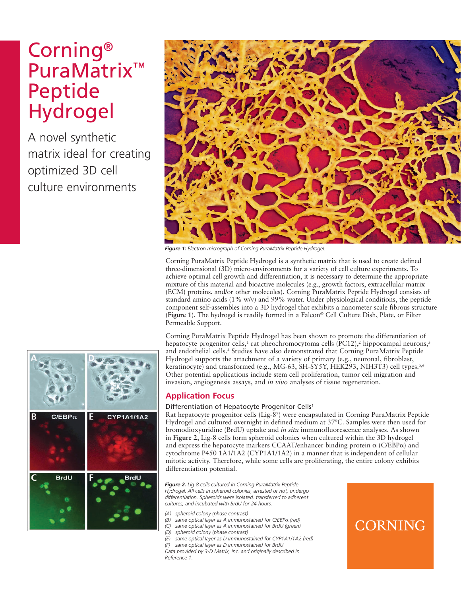# Corning® PuraMatrix™ Peptide Hydrogel

A novel synthetic matrix ideal for creating optimized 3D cell culture environments



*Figure 1: Electron micrograph of Corning PuraMatrix Peptide Hydrogel.*

Corning PuraMatrix Peptide Hydrogel is a synthetic matrix that is used to create defined three-dimensional (3D) micro-environments for a variety of cell culture experiments. To achieve optimal cell growth and differentiation, it is necessary to determine the appropriate mixture of this material and bioactive molecules (e.g., growth factors, extracellular matrix (ECM) proteins, and/or other molecules). Corning PuraMatrix Peptide Hydrogel consists of standard amino acids (1% w/v) and 99% water. Under physiological conditions, the peptide component self-assembles into a 3D hydrogel that exhibits a nanometer scale fibrous structure (**Figure 1**). The hydrogel is readily formed in a Falcon® Cell Culture Dish, Plate, or Filter Permeable Support.

Corning PuraMatrix Peptide Hydrogel has been shown to promote the differentiation of hepatocyte progenitor cells,<sup>1</sup> rat pheochromocytoma cells (PC12),<sup>2</sup> hippocampal neurons,<sup>3</sup> and endothelial cells.4 Studies have also demonstrated that Corning PuraMatrix Peptide Hydrogel supports the attachment of a variety of primary (e.g., neuronal, fibroblast, keratinocyte) and transformed (e.g., MG-63, SH-SY5Y, HEK293, NIH3T3) cell types.<sup>5,6</sup> Other potential applications include stem cell proliferation, tumor cell migration and invasion, angiogenesis assays, and *in vivo* analyses of tissue regeneration.

#### **Application Focus**

#### Differentiation of Hepatocyte Progenitor Cells<sup>1</sup>

Rat hepatocyte progenitor cells (Lig-87) were encapsulated in Corning PuraMatrix Peptide Hydrogel and cultured overnight in defined medium at 37ºC. Samples were then used for bromodioxyuridine (BrdU) uptake and *in situ* immunofluorescence analyses. As shown in **Figure 2**, Lig-8 cells form spheroid colonies when cultured within the 3D hydrogel and express the hepatocyte markers CCAAT/enhancer binding protein  $\alpha$  (C/EBP $\alpha$ ) and cytochrome P450 1A1/1A2 (CYP1A1/1A2) in a manner that is independent of cellular mitotic activity. Therefore, while some cells are proliferating, the entire colony exhibits differentiation potential.

*Figure 2. Lig-8 cells cultured in Corning PuraMatrix Peptide Hydrogel. All cells in spheroid colonies, arrested or not, undergo differentiation. Spheroids were isolated, transferred to adherent cultures, and incubated with BrdU for 24 hours.*

- *(A) spheroid colony (phase contrast)*
- *(B) same optical layer as A immunostained for C/EBP*a *(red)*
- *(C) same optical layer as A immunostained for BrdU (green)*
- *(D) spheroid colony (phase contrast)*
- *(E) same optical layer as D immunostained for CYP1A1/1A2 (red) (F) same optical layer as D immunostained for BrdU*
- *Data provided by 3-D Matrix, Inc. and originally described in Reference 1.*